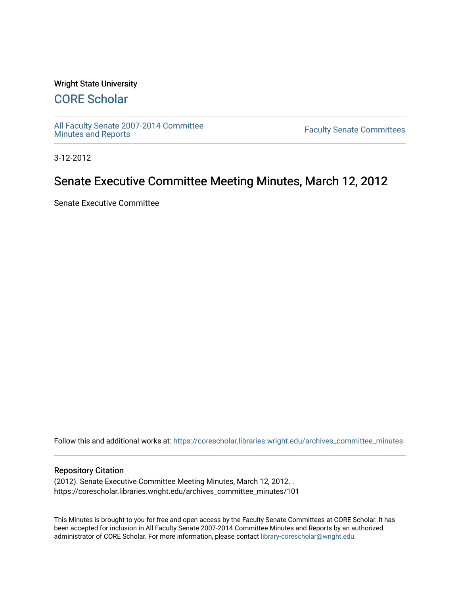### Wright State University

# [CORE Scholar](https://corescholar.libraries.wright.edu/)

[All Faculty Senate 2007-2014 Committee](https://corescholar.libraries.wright.edu/archives_committee_minutes)

**Faculty Senate Committees** 

3-12-2012

# Senate Executive Committee Meeting Minutes, March 12, 2012

Senate Executive Committee

Follow this and additional works at: [https://corescholar.libraries.wright.edu/archives\\_committee\\_minutes](https://corescholar.libraries.wright.edu/archives_committee_minutes?utm_source=corescholar.libraries.wright.edu%2Farchives_committee_minutes%2F101&utm_medium=PDF&utm_campaign=PDFCoverPages) 

#### Repository Citation

(2012). Senate Executive Committee Meeting Minutes, March 12, 2012. . https://corescholar.libraries.wright.edu/archives\_committee\_minutes/101

This Minutes is brought to you for free and open access by the Faculty Senate Committees at CORE Scholar. It has been accepted for inclusion in All Faculty Senate 2007-2014 Committee Minutes and Reports by an authorized administrator of CORE Scholar. For more information, please contact [library-corescholar@wright.edu.](mailto:library-corescholar@wright.edu)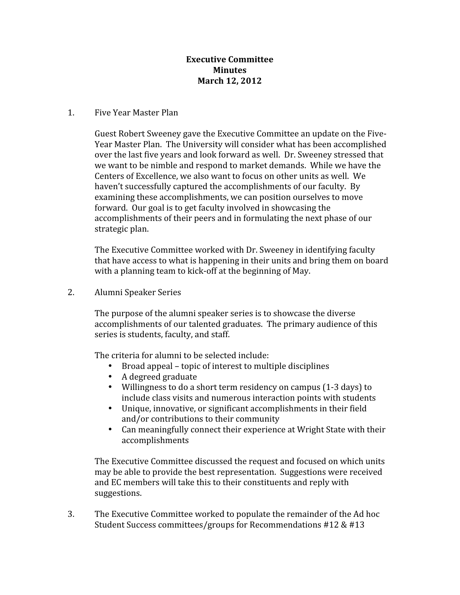## **Executive Committee Minutes March 12, 2012**

### 1. Five Year Master Plan

Guest Robert Sweeney gave the Executive Committee an update on the Five‐ Year Master Plan. The University will consider what has been accomplished over the last five years and look forward as well. Dr. Sweeney stressed that we want to be nimble and respond to market demands. While we have the Centers of Excellence, we also want to focus on other units as well. We haven't successfully captured the accomplishments of our faculty. By examining these accomplishments, we can position ourselves to move forward. Our goal is to get faculty involved in showcasing the accomplishments of their peers and in formulating the next phase of our strategic plan.

The Executive Committee worked with Dr. Sweeney in identifying faculty that have access to what is happening in their units and bring them on board with a planning team to kick-off at the beginning of May.

2. Alumni Speaker Series

The purpose of the alumni speaker series is to showcase the diverse accomplishments of our talented graduates. The primary audience of this series is students, faculty, and staff.

The criteria for alumni to be selected include:

- Broad appeal topic of interest to multiple disciplines
- A degreed graduate
- Willingness to do a short term residency on campus (1-3 days) to include class visits and numerous interaction points with students
- Unique, innovative, or significant accomplishments in their field and/or contributions to their community
- Can meaningfully connect their experience at Wright State with their accomplishments

The Executive Committee discussed the request and focused on which units may be able to provide the best representation. Suggestions were received and EC members will take this to their constituents and reply with suggestions.

3. The Executive Committee worked to populate the remainder of the Ad hoc Student Success committees/groups for Recommendations #12 & #13